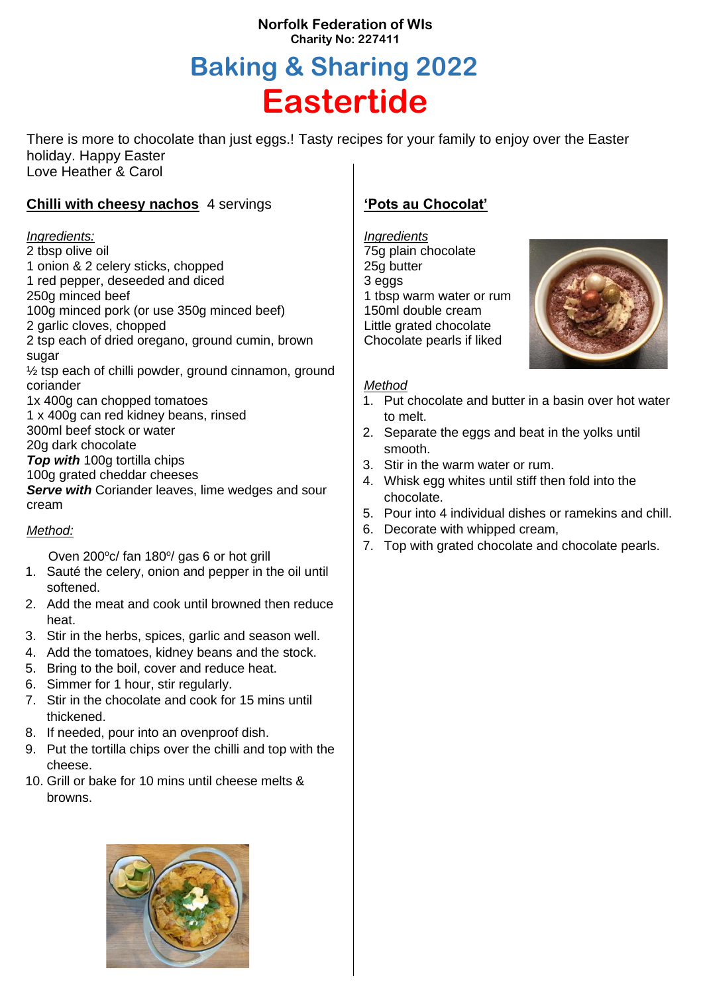### **Norfolk Federation of WIs Charity No: 227411**

# **Baking & Sharing 2022 Eastertide**

There is more to chocolate than just eggs.! Tasty recipes for your family to enjoy over the Easter holiday. Happy Easter Love Heather & Carol

## **Chilli with cheesy nachos** 4 servings

#### *Ingredients:*

2 tbsp olive oil 1 onion & 2 celery sticks, chopped 1 red pepper, deseeded and diced 250g minced beef 100g minced pork (or use 350g minced beef) 2 garlic cloves, chopped 2 tsp each of dried oregano, ground cumin, brown sugar  $\frac{1}{2}$  tsp each of chilli powder, ground cinnamon, ground coriander 1x 400g can chopped tomatoes 1 x 400g can red kidney beans, rinsed 300ml beef stock or water 20g dark chocolate *Top with* 100g tortilla chips 100g grated cheddar cheeses **Serve with Coriander leaves, lime wedges and sour** cream

#### *Method:*

Oven 200°c/ fan 180°/ gas 6 or hot grill

- 1. Sauté the celery, onion and pepper in the oil until softened.
- 2. Add the meat and cook until browned then reduce heat.
- 3. Stir in the herbs, spices, garlic and season well.
- 4. Add the tomatoes, kidney beans and the stock.
- 5. Bring to the boil, cover and reduce heat.
- 6. Simmer for 1 hour, stir regularly.
- 7. Stir in the chocolate and cook for 15 mins until thickened.
- 8. If needed, pour into an ovenproof dish.
- 9. Put the tortilla chips over the chilli and top with the cheese.
- 10. Grill or bake for 10 mins until cheese melts & browns.

# **'Pots au Chocolat'**

*Ingredients* 75g plain chocolate 25g butter 3 eggs 1 tbsp warm water or rum 150ml double cream Little grated chocolate Chocolate pearls if liked



#### *Method*

- 1. Put chocolate and butter in a basin over hot water to melt.
- 2. Separate the eggs and beat in the yolks until smooth.
- 3. Stir in the warm water or rum.
- 4. Whisk egg whites until stiff then fold into the chocolate.
- 5. Pour into 4 individual dishes or ramekins and chill.
- 6. Decorate with whipped cream,
- 7. Top with grated chocolate and chocolate pearls.